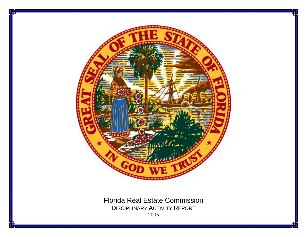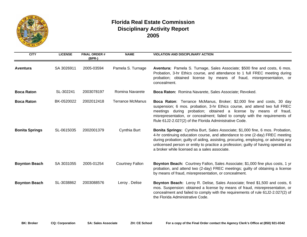

## **Florida Real Estate Commission Disciplinary Activity Report 2005**

| <b>CITY</b>           | <b>LICENSE</b> | <b>FINAL ORDER#</b><br>(BPR-) | <b>NAME</b>             | <b>VIOLATION AND DISCIPLINARY ACTION</b>                                                                                                                                                                                                                                                                                                                                                      |
|-----------------------|----------------|-------------------------------|-------------------------|-----------------------------------------------------------------------------------------------------------------------------------------------------------------------------------------------------------------------------------------------------------------------------------------------------------------------------------------------------------------------------------------------|
| Aventura              | SA 3026911     | 2005-03594                    | Pamela S. Turnage       | Aventura: Pamela S. Turnage, Sales Associate; \$500 fine and costs, 6 mos.<br>Probation, 3-hr Ethics course, and attendance to 1 full FREC meeting during<br>probation; obtained license by means of fraud, misrepresentation, or<br>concealment.                                                                                                                                             |
| <b>Boca Raton</b>     | SL-302241      | 2003078197                    | Romina Navarete         | Boca Raton: Romina Navarete, Sales Associate; Revoked.                                                                                                                                                                                                                                                                                                                                        |
| <b>Boca Raton</b>     | BK-0520022     | 2002012418                    | <b>Terrance McManus</b> | Boca Raton: Terrance McManus, Broker; \$2,000 fine and costs, 30 day<br>suspension; 6 mos. probation, 3-hr Ethics course, and attend two full FREC<br>meetings during probation; obtained a license by means of fraud,<br>misrepresentation, or concealment; failed to comply with the requirements of<br>Rule 61J2-2.027(2) of the Florida Administrative Code.                              |
| <b>Bonita Springs</b> | SL-0615035     | 2002001379                    | Cynthia Burt            | Bonita Springs: Cynthia Burt, Sales Associate; \$1,000 fine, 6 mos. Probation,<br>4-hr continuing education course, and attendance to one (2-day) FREC meeting<br>during probation; guilty of aiding, assisting, procuring, employing, or advising any<br>unlicensed person or entity to practice a profession; guilty of having operated as<br>a broker while licensed as a sales associate. |
| <b>Boynton Beach</b>  | SA 3031055     | 2005-01254                    | <b>Courtney Fallon</b>  | Boynton Beach: Courtney Fallon, Sales Associate; \$1,000 fine plus costs, 1 yr<br>probation, and attend two (2-day) FREC meetings; guilty of obtaining a license<br>by means of fraud, misrepresentation, or concealment.                                                                                                                                                                     |
| <b>Boynton Beach</b>  | SL-3038862     | 2003088576                    | Leroy . Delise          | Boynton Beach: Leroy R. Delise, Sales Associate; fined \$1,500 and costs, 6<br>mos. Suspension: obtained a license by means of fraud, misrepresentation, or<br>concealment and failed to comply with the requirements of rule 61J2-2.027(2) of<br>the Florida Administrative Code.                                                                                                            |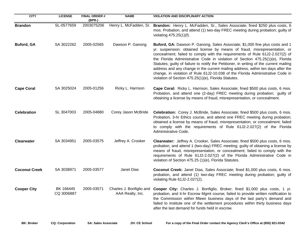| <b>CITY</b>          | <b>LICENSE</b>          | <b>FINAL ORDER #</b><br>(BPR-) | <b>NAME</b>                                  | <b>VIOLATION AND DISCIPLINARY ACTION</b>                                                                                                                                                                                                                                                                                                                                                                                                                                                                                                                                                                                                            |
|----------------------|-------------------------|--------------------------------|----------------------------------------------|-----------------------------------------------------------------------------------------------------------------------------------------------------------------------------------------------------------------------------------------------------------------------------------------------------------------------------------------------------------------------------------------------------------------------------------------------------------------------------------------------------------------------------------------------------------------------------------------------------------------------------------------------------|
| <b>Brandon</b>       | SL-0577659              | 2003075206                     | Henry L. McFadden, Sr.                       | Brandon: Henry L. McFadden, Sr., Sales Associate; fined \$250 plus costs, 6<br>mos. Probation, and attend (1) two-day FREC meeting during probation; guilty of<br>violating 475.25(1)(f).                                                                                                                                                                                                                                                                                                                                                                                                                                                           |
| <b>Buford, GA</b>    | SA 3022262              | 2005-02565                     | Dawson P. Ganong                             | Buford, GA: Dawson P. Ganong, Sales Associate; \$1,000 fine plus costs and 1<br>yr. suspension; obtained license by means of fraud, misrepresentation, or<br>concealment; failed to comply with the requirements of Rule 61J2-2.027(2) of<br>the Florida Administrative Code in violation of Section 475.25(1)(e), Florida<br>Statutes; guilty of failure to notify the Petitioner, in writing of the current mailing<br>address and any change in the current mailing address, within ten days after the<br>change, in violation of Rule 61J2-10.038 of the Florida Administrative Code in<br>violation of Section 475.25(1)(e), Florida Statutes. |
| <b>Cape Coral</b>    | SA 3025024              | 2005-01256                     | Ricky L. Harrison                            | Cape Coral: Ricky L. Harrison, Sales Associate; fined \$500 plus costs, 6 mos.<br>Probation, and attend one (2-day) FREC meeting during probation; guilty of<br>obtaining a license by means of fraud, misrepresentation, or concealment.                                                                                                                                                                                                                                                                                                                                                                                                           |
| <b>Celebration</b>   | SL 3047003              | 2005-04880                     | Corey Jason McBride                          | Celebration: Corey J. McBride, Sales Associate; fined \$500 plus costs, 6 mos.<br>Probation, 3-hr Ethics course, and attend one FREC meeting during probation;<br>obtained a license by means of fraud, misrepresentation, or concealment; failed<br>to comply with the requirements of Rule 61J2-2.027(2) of the Florida<br>Administrative Code.                                                                                                                                                                                                                                                                                                   |
| <b>Clearwater</b>    | SA 3034951              | 2005-03575                     | Jeffrey A. Crooker                           | Clearwater: Jeffrey A. Crooker, Sales Associate; fined \$500 plus costs, 6 mos.<br>probation, and attend 1 (two-day) FREC meeting; guilty of obtaining a license by<br>means of fraud, misrepresentation, or concealment; failed to comply with the<br>requirements of Rule 61J2-2.027(2) of the Florida Administrative Code in<br>violation of Section 475.25 (1)(e), Florida Statutes.                                                                                                                                                                                                                                                            |
| <b>Coconut Creek</b> | SA 3038971              | 2005-03577                     | Janet Dias                                   | Coconut Creek: Janet Dias, Sales Associate; fined \$1,000 plus costs, 6 mos.<br>probation, and attend (1) two-day FREC meeting during probation; guilty of<br>violating Rule 61J2-2.027(2).                                                                                                                                                                                                                                                                                                                                                                                                                                                         |
| <b>Cooper City</b>   | BK 166445<br>CQ 3006887 | 2005-03571                     | Charles J. Bonfiglio and<br>AAA Realty, Inc. | Cooper City: Charles J. Bonfiglio, Broker; fined \$1,000 plus costs, 1 yr.<br>probation, and 4-hr Escrow Mgmt course; failed to provide written notification to<br>the Commission within fifteen business days of the last party's demand and<br>failed to institute one of the settlement procedures within thirty business days<br>after the last demand for funds held in escrow.                                                                                                                                                                                                                                                                |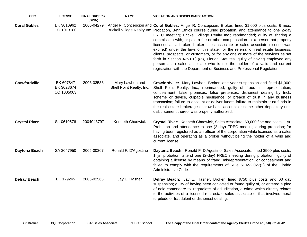| <b>CITY</b>          | <b>LICENSE</b>                        | <b>FINAL ORDER#</b><br>(BPR-) | <b>NAME</b>                                 | <b>VIOLATION AND DISCIPLINARY ACTION</b>                                                                                                                                                                                                                                                                                                                                                                                                                                                                                                                                                                                                                                                                                                                                                                                                                                            |
|----------------------|---------------------------------------|-------------------------------|---------------------------------------------|-------------------------------------------------------------------------------------------------------------------------------------------------------------------------------------------------------------------------------------------------------------------------------------------------------------------------------------------------------------------------------------------------------------------------------------------------------------------------------------------------------------------------------------------------------------------------------------------------------------------------------------------------------------------------------------------------------------------------------------------------------------------------------------------------------------------------------------------------------------------------------------|
| <b>Coral Gables</b>  | BK 3010962<br>CQ 1013180              | 2005-04279                    |                                             | Angel R. Concepcion and Coral Gables: Angel R. Concepcion, Broker; fined \$1,000 plus costs, 6 mos.<br>Brickell Village Realty Inc. Probation, 3-hr Ethics course during probation, and attendance to one 2-day<br>FREC meeting; Brickell Village Realty Inc.; reprimanded; guilty of sharing a<br>commission with, or paid a fee or other compensation to, a person not properly<br>licensed as a broker, broker-sales associate or sales associate (license was<br>expired) under the laws of this state, for the referral of real estate business,<br>clients, prospects, or customers, or for any one or more of the services as set<br>forth in Section 475.01(1)(a), Florida Statutes; guilty of having employed any<br>person as a sales associate who is not the holder of a valid and current<br>registration with the Department of Business and Professional Regulation. |
| Crawfordville        | BK 607847<br>BK 3028674<br>CQ 1005003 | 2003-03538                    | Mary Lawhon and<br>Shell Point Realty, Inc. | Crawfordville: Mary Lawhon, Broker; one year suspension and fined \$1,000;<br>Shell Point Realty, Inc.; reprimanded; guilty of fraud, misrepresentation,<br>concealment, false promises, false pretenses, dishonest dealing by trick,<br>scheme or device, culpable negligence, or breach of trust in any business<br>transaction; failure to account or deliver funds; failure to maintain trust funds in<br>the real estate brokerage escrow bank account or some other depository until<br>disbursement thereof was properly authorized.                                                                                                                                                                                                                                                                                                                                         |
| <b>Crystal River</b> | SL-0610576                            | 2004043797                    | Kenneth Chadwick                            | Crystal River: Kenneth Chadwick, Sales Associate; \$3,000 fine and costs, 1 yr.<br>Probation and attendance to one (2-day) FREC meeting during probation; for<br>having been registered as an officer of the corporation while licensed as a sales<br>associate, and operating as a broker without being the holder of a valid and<br>current license.                                                                                                                                                                                                                                                                                                                                                                                                                                                                                                                              |
| Daytona Beach        | SA 3047950                            | 2005-00367                    | Ronald F. D'Agostino                        | Daytona Beach: Ronald F. D'Agostino, Sales Associate; fined \$500 plus costs,<br>1 yr. probation, attend one (2-day) FREC meeting during probation: guilty of<br>obtaining a license by means of fraud, misrepresentation, or concealment and<br>failed to comply with the requirements of Rule 61J2-2.027(2) of the Florida<br>Administrative Code.                                                                                                                                                                                                                                                                                                                                                                                                                                                                                                                                |
| <b>Delray Beach</b>  | BK 179245                             | 2005-02563                    | Jay E. Hasner                               | Delray Beach: Jay E. Hasner, Broker; fined \$750 plus costs and 60 day<br>suspension; guilty of having been convicted or found guilty of, or entered a plea<br>of nolo contendere to, regardless of adjudication, a crime which directly relates<br>to the activities of a licensed real estate sales associate or that involves moral<br>turpitude or fraudulent or dishonest dealing.                                                                                                                                                                                                                                                                                                                                                                                                                                                                                             |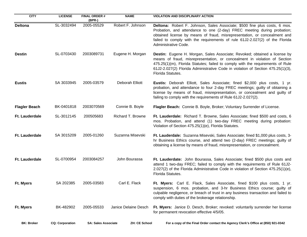| <b>CITY</b>           | <b>LICENSE</b>         | <b>FINAL ORDER#</b><br>$(BPR-)$ | <b>NAME</b>          | <b>VIOLATION AND DISCIPLINARY ACTION</b>                                                                                                                                                                                                                                                                                                                |
|-----------------------|------------------------|---------------------------------|----------------------|---------------------------------------------------------------------------------------------------------------------------------------------------------------------------------------------------------------------------------------------------------------------------------------------------------------------------------------------------------|
| <b>Deltona</b>        | SL-3032494             | 2005-05529                      | Robert F. Johnson    | Deltona: Robert F. Johnson, Sales Associate; \$500 fine plus costs, 6 mos.<br>Probation, and attendance to one (2-day) FREC meeting during probation;<br>obtained license by means of fraud, misrepresentation, or concealment and<br>failed to comply with the requirements of rule 61J2-2.027(2) of the Florida<br>Administrative Code.               |
| <b>Destin</b>         | SL-0703430             | 2003089731                      | Eugene H. Morgan     | <b>Destin:</b> Eugene H. Morgan, Sales Associate; Revoked; obtained a license by<br>means of fraud, misrepresentation, or concealment in violation of Section<br>475.25(1)(m), Florida Statutes; failed to comply with the requirements of Rule<br>61J2-2.027(2) Florida Administrative Code in violation of Section 475.25(1)(3),<br>Florida Statutes. |
| <b>Eustis</b>         | SA 3033945             | 2005-03579                      | Deborah Elliott      | Eustis: Deborah Elliott, Sales Associate; fined \$2,000 plus costs, 1 yr.<br>probation, and attendance to four 2-day FREC meetings; guilty of obtaining a<br>license by means of fraud, misrepresentation, or concealment and guilty of<br>failing to comply with the requirements of Rule 61J2-2.027(2).                                               |
| <b>Flagler Beach</b>  | BK-0401818             | 2003070569                      | Connie B. Boyle      | Flagler Beach: Connie B. Boyle, Broker; Voluntary Surrender of License.                                                                                                                                                                                                                                                                                 |
| <b>Ft. Lauderdale</b> | SL-3012145             | 200505683                       | Richard T. Browne    | Ft. Lauderdale: Richard T. Browne, Sales Associate; fined \$500 and costs, 6<br>mos. Probation, and attend (1) two-day FREC meeting during probation:<br>Violation of Section 475.25(1)(e), Florida Statutes.                                                                                                                                           |
| <b>Ft. Lauderdale</b> | SA 3015209             | 2005-01260                      | Suzanna Misevski     | Ft. Lauderdale: Suzanna Misevski, Sales Associate; fined \$1,000 plus costs, 3-<br>hr Business Ethics course, and attend two (2-day) FREC meetings; guilty of<br>obtaining a license by means of fraud, misrepresentation, or concealment.                                                                                                              |
| Ft. Lauderdale        | SL-0700954             | 2003084257                      | John Bourassa        | Ft. Lauderdate: John Bourassa, Sales Associate; fined \$500 plus costs and<br>attend 1 two-day FREC; failed to comply with the requirements of Rule 61J2-<br>2.027(2) of the Florida Administrative Code in violation of Section $475.25(1)(e)$ ,<br>Florida Statutes.                                                                                  |
| Ft. Myers             | SA 202385              | 2005-03583                      | Carl E. Flack        | Ft. Myers: Carl E. Flack, Sales Associate, fined \$100 plus costs, 1 yr.<br>suspension, 6 mos. probation, and 3-hr Business Ethics course; guilty of<br>culpable negligence, or breach of trust in any business transaction and failed to<br>comply with duties of the brokerage relationship.                                                          |
| Ft. Myers             | BK-482902              | 2005-05533                      | Janice Delaine Desch | Ft. Myers: Janice D. Desch, Broker; revoked: voluntarily surrender her license<br>for permanent revocation effective 4/5/05.                                                                                                                                                                                                                            |
| <b>BK: Broker</b>     | <b>CQ: Corporation</b> | <b>SA: Sales Associate</b>      | <b>ZH: CE School</b> | For a copy of the Final Order contact the Agency Clerk's Office at (850) 921-0342                                                                                                                                                                                                                                                                       |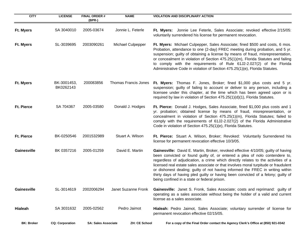| <b>CITY</b>       | <b>LICENSE</b>           | <b>FINAL ORDER#</b><br>(BPR-) | <b>NAME</b>          | <b>VIOLATION AND DISCIPLINARY ACTION</b>                                                                                                                                                                                                                                                                                                                                                                                                                                                                                                                            |
|-------------------|--------------------------|-------------------------------|----------------------|---------------------------------------------------------------------------------------------------------------------------------------------------------------------------------------------------------------------------------------------------------------------------------------------------------------------------------------------------------------------------------------------------------------------------------------------------------------------------------------------------------------------------------------------------------------------|
| Ft. Myers         | SA 3040010               | 2005-03674                    | Jonnie L. Feterle    | Ft. Myers: Jonnie Lee Feterle, Sales Associate; revoked effective 2/15/05:<br>voluntarily surrendered his license for permanent revocation.                                                                                                                                                                                                                                                                                                                                                                                                                         |
| Ft. Myers         | SL-3039695               | 2003090261                    | Michael Culpepper    | Ft. Myers: Michael Culpepper, Sales Associate; fined \$500 and costs, 6 mos.<br>Probation, attendance to one (2-day) FREC meeting during probation, and 5 yr.<br>suspension; guilty of obtaining a license by means of fraud, misrepresentation,<br>or concealment in violation of Section 475.25(1)(m), Florida Statutes and failing<br>to comply with the requirements of Rule 61J2-2.027(2) of the Florida<br>Administrative Code in violation of Section 475.25(1)(e), Florida Statutes.                                                                        |
| Ft. Myers         | BK-3001453,<br>BK0262143 | 200083856                     | Thomas Francis Jones | Ft. Myers: Thomas F. Jones, Broker; fined \$1,000 plus costs and 5 yr.<br>suspension; guilty of failing to account or deliver to any person, including a<br>licensee under this chapter, at the time which has been agreed upon or is<br>required by law in violation of Section 475.25(1)(d)(1), Florida Statutes.                                                                                                                                                                                                                                                 |
| <b>Ft. Pierce</b> | SA 704367                | 2005-03580                    | Donald J. Hodges     | Ft. Pierce: Donald J. Hodges, Sales Associate, fined \$1,000 plus costs and 1<br>yr. probation; obtained license by means of fraud, misrepresentation, or<br>concealment in violation of Section 475.25(1)(m), Florida Statutes; failed to<br>comply with the requirements of 61J2-2.027(2) of the Florida Administrative<br>Code in violation of Section 475.25(1)(e), Florida Statutes.                                                                                                                                                                           |
| <b>Ft. Pierce</b> | BK-0250546               | 2001532989                    | Stuart A. Wilson     | Ft. Pierce: Stuart A. Wilson, Broker; Revoked: Voluntarily Surrendered his<br>license for permanent revocation effective 10/3/05.                                                                                                                                                                                                                                                                                                                                                                                                                                   |
| Gainesville       | BK 0357216               | 2005-01259                    | David E. Martin      | Gainesville: David E. Martin, Broker, revoked effective 4/10/05; guilty of having<br>been convicted or found guilty of, or entered a plea of nolo contendere to,<br>regardless of adjudication, a crime which directly relates to the activities of a<br>licensed real estate sales associate or that involves moral turpitude or fraudulent<br>or dishonest dealing; guilty of not having informed the FREC in writing within<br>thirty days of having pled guilty or having been convicted of a felony; guilty of<br>being confined in a state or federal prison. |
| Gainesville       | SL-3014619               | 2002006294                    | Janet Suzanne Fronk  | Gainesville: Janet S. Fronk, Sales Associate; costs and reprimand: guilty of<br>operating as a sales associate without being the holder of a valid and current<br>license as a sales associate.                                                                                                                                                                                                                                                                                                                                                                     |
| <b>Hialeah</b>    | SA 3031632               | 2005-02562                    | Pedro Jaimot         | Hialeah: Pedro Jaimot, Sales Associate; voluntary surrender of license for<br>permanent revocation effective 02/15/05.                                                                                                                                                                                                                                                                                                                                                                                                                                              |
| <b>BK: Broker</b> | <b>CQ: Corporation</b>   | <b>SA: Sales Associate</b>    | <b>ZH: CE School</b> | For a copy of the Final Order contact the Agency Clerk's Office at (850) 921-0342                                                                                                                                                                                                                                                                                                                                                                                                                                                                                   |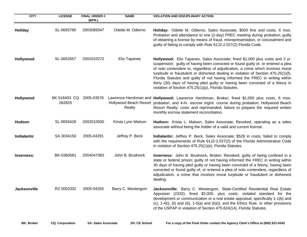| <b>CITY</b>         | <b>LICENSE</b>         | <b>FINAL ORDER#</b><br>$(BPR-)$ | <b>NAME</b>        | <b>VIOLATION AND DISCIPLINARY ACTION</b>                                                                                                                                                                                                                                                                                                                                                                                                                                                                                                                              |
|---------------------|------------------------|---------------------------------|--------------------|-----------------------------------------------------------------------------------------------------------------------------------------------------------------------------------------------------------------------------------------------------------------------------------------------------------------------------------------------------------------------------------------------------------------------------------------------------------------------------------------------------------------------------------------------------------------------|
| <b>Holiday</b>      | SL-0693780             | 2003089347                      | Odette M. Odierno  | Holiday: Odette M. Odierno, Sales Associate; \$500 fine and costs, 6 mos.<br>Probation and attendance to one (2-day) FREC meeting during probation; guilty<br>of obtaining a license by means of fraud, misrepresentation, or concealment and<br>guilty of failing to comply with Rule 61J2-2.027(2) Florida Code.                                                                                                                                                                                                                                                    |
| Hollywood           | SL-0652657             | 2002010272                      | Elio Tapanes       | Hollywood: Elio Tapanes, Sales Associate; fined \$1,000 plus costs and 2 yr.<br>suspension; guilty of having been convicted or found guilty of, or entered a plea<br>of nolo contendere to, regardless of adjudication, a crime which involves moral<br>turpitude or fraudulent or dishonest dealing in violation of Section 475.25(1)(f),<br>Florida Statutes and guilty of not having informed the FREC in writing within<br>thirty (30) days of having pled guilty or having been convicted of a felony in<br>violation of Section 475.25(1)(p), Florida Statutes. |
| Hollywood           | BK 518403 CQ<br>262825 | 2005-03578                      | Realty             | Lawrence Hershman and Hollywood: Lawrence Hershman, Broker; fined \$1,000 plus costs, 6 mos.<br>Hollywood Beach Resort probation, and 4-hr. escrow mgmt. course during probation; Hollywood Beach<br>Resort Realty; costs and reprimanded; failure to prepare the required written<br>monthly escrow statement reconciliation.                                                                                                                                                                                                                                        |
| <b>Hudson</b>       | SL-0693428             | 2002010930                      | Kirsta Lynn Matson | Hudson: Krista L. Matson, Sales Associate; Revoked, operating as a sales<br>associate without being the holder of a valid and current license.                                                                                                                                                                                                                                                                                                                                                                                                                        |
| <b>Indialantic</b>  | SA 3034150             | 2005-04281                      | Jeffrey P. Beck    | Indialantic: Jeffrey P. Beck, Sales Associate; \$528 in costs; failed to comply<br>with the requirements of Rule 61J2-2.027(2) of the Florida Administrative Code<br>in violation of Section 475.25(1)(e), Florida Statutes.                                                                                                                                                                                                                                                                                                                                          |
| Inverness:          | BK-0360581             | 2004047083                      | John B. Brudnock   | Inverness: John B. Brudnock, Broker; Revoked; guilty of being confined in a<br>state or federal prison; guilty of not having informed the FREC in writing within<br>30 days of having pled guilty or having been convicted of a felony, having been<br>convicted or found guilty of, or entered a plea of nolo contendere, regardless of<br>adjudication, a crime that involves moral turpitude or fraudulent or dishonest<br>dealing.                                                                                                                                |
| <b>Jacksonville</b> | RZ 0002332             | 2005-04293                      | Barry C. Westergom | Jacksonville: Barry C. Westergom, State-Certified Residential Real Estate<br>Appraiser (2332); fined \$2,000. plus costs; violated standard for the<br>development or communication or a real estate appraisal, specifically 1-1(b) and<br>(c), 1-4(i), (ii) and (iii), 1-5(a) and (b)(i), and the Ethics Rule, or other provisions<br>of the USPAP in violation of Section 475.624(14), Florida Statutes.                                                                                                                                                            |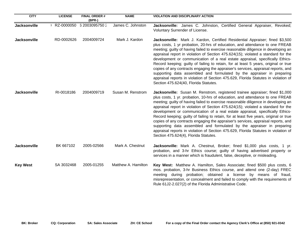| <b>CITY</b>         | <b>LICENSE</b> | <b>FINAL ORDER#</b><br>$(BPR-)$ | <b>NAME</b>         | <b>VIOLATION AND DISCIPLINARY ACTION</b>                                                                                                                                                                                                                                                                                                                                                                                                                                                                                                                                                                                                                                                                                                                                                                           |
|---------------------|----------------|---------------------------------|---------------------|--------------------------------------------------------------------------------------------------------------------------------------------------------------------------------------------------------------------------------------------------------------------------------------------------------------------------------------------------------------------------------------------------------------------------------------------------------------------------------------------------------------------------------------------------------------------------------------------------------------------------------------------------------------------------------------------------------------------------------------------------------------------------------------------------------------------|
| <b>Jacksonville</b> | RZ-0000050     | 6 2003095750 2                  | James C. Johnston   | Jacksonville: James C. Johnston, Certified General Appraiser, Revoked;<br>Voluntary Surrender of License.                                                                                                                                                                                                                                                                                                                                                                                                                                                                                                                                                                                                                                                                                                          |
| <b>Jacksonville</b> | RD-0002626     | 2004009724                      | Mark J. Kardon      | Jacksonville: Mark J. Kardon, Certified Residential Appraiser; fined \$3,500<br>plus costs, 1 yr probation, 20-hrs of education, and attendance to one FREAB<br>meeting; guilty of having failed to exercise reasonable diligence in developing an<br>appraisal report in violation of Section 475.624(15); violated a standard for the<br>development or communication of a real estate appraisal, specifically Ethics-<br>Record keeping; guilty of failing to retain, for at least 5 years, original or true<br>copies of any contracts engaging the appraiser's services, appraisal reports, and<br>supporting data assembled and formulated by the appraiser in preparing<br>appraisal reports in violation of Section 475.629, Florida Statutes in violation of<br>Section 475.624(40, Florida Statutes.     |
| <b>Jacksonville</b> | RI-0018186     | 2004009719                      | Susan M. Renstrom   | Jacksonville: Susan M. Renstrom, registered trainee appraiser; fined \$1,000<br>plus costs, 1 yr. probation, 10-hrs of education, and attendance to one FREAB<br>meeting; guilty of having failed to exercise reasonable diligence in developing an<br>appraisal report in violation of Section 475.624(15); violated a standard for the<br>development or communication of a real estate appraisal, specifically Ethics-<br>Record keeping; guilty of failing to retain, for at least five years, original or true<br>copies of any contracts engaging the appraiser's services, appraisal reports, and<br>supporting data assembled and formulated by the appraiser in preparing<br>appraisal reports in violation of Section 475.629, Florida Statutes in violation of<br>Section 475.624(4), Florida Statutes. |
| <b>Jacksonville</b> | BK 667102      | 2005-02566                      | Mark A. Chestnut    | Jacksonville: Mark A. Chestnut, Broker; fined \$1,000 plus costs, 1 yr.<br>probation, and 3-hr Ethics course; guilty of having advertised property or<br>services in a manner which is fraudulent, false, deceptive, or misleading.                                                                                                                                                                                                                                                                                                                                                                                                                                                                                                                                                                                |
| <b>Key West</b>     | SA 3032468     | 2005-01255                      | Matthew A. Hamilton | Key West: Matthew A. Hamilton, Sales Associate; fined \$500 plus costs, 6<br>mos. probation, 3-hr Business Ethics course, and attend one (2-day) FREC<br>meeting during probation; obtained a license by means of fraud,<br>misrepresentation, or concealment and failed to comply with the requirements of<br>Rule 61J2-2.027(2) of the Florida Administrative Code.                                                                                                                                                                                                                                                                                                                                                                                                                                              |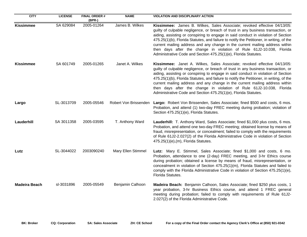| <b>CITY</b>          | <b>LICENSE</b> | <b>FINAL ORDER#</b><br>$(BPR-)$ | <b>NAME</b>               | <b>VIOLATION AND DISCIPLINARY ACTION</b>                                                                                                                                                                                                                                                                                                                                                                                                                                                                                                                                  |
|----------------------|----------------|---------------------------------|---------------------------|---------------------------------------------------------------------------------------------------------------------------------------------------------------------------------------------------------------------------------------------------------------------------------------------------------------------------------------------------------------------------------------------------------------------------------------------------------------------------------------------------------------------------------------------------------------------------|
| <b>Kissimmee</b>     | SA 629084      | 2005-01264                      | James B. Wilkes           | Kissimmee: James B. Wilkes, Sales Associate; revoked effective 04/13/05:<br>guilty of culpable negligence, or breach of trust in any business transaction, or<br>aiding, assisting or conspiring to engage in said conduct in violation of Section<br>475.25(1)(b), Florida Statutes, and failure to notify the Petitioner, in writing, of the<br>current mailing address and any change in the current mailing address within<br>then days after the change in violation of Rule 61J2-10.038, Florida<br>Administrative Code and Section 475.25(1)(e), Florida Statutes. |
| <b>Kissimmee</b>     | SA 601749      | 2005-01265                      | Janet A. Wilkes           | Kissimmee: Janet A. Wilkes, Sales Associate; revoked effective 04/13/05:<br>guilty of culpable negligence, or breach of trust in any business transaction, or<br>aiding, assisting or conspiring to engage in said conduct in violation of Section<br>475.25(1)(b), Florida Statutes, and failure to notify the Petitioner, in writing, of the<br>current mailing address and any change in the current mailing address within<br>then days after the change in violation of Rule 61J2-10.038, Florida<br>Administrative Code and Section 475.25(1)(e), Florida Statutes. |
| Largo                | SL-3013709     | 2005-05546                      |                           | Robert Von Brissenden Largo: Robert Von Brissenden, Sales Associate; fined \$500 and costs, 6 mos.<br>Probation, and attend (1) two-day FREC meeting during probation; violation of<br>Section 475.25(1)(e), Florida Statutes.                                                                                                                                                                                                                                                                                                                                            |
| Lauderhill           | SA 3011358     | 2005-03595                      | T. Anthony Ward           | Lauderhill: T. Anthony Ward, Sales Associate; fined \$1,000 plus costs, 6 mos.<br>Probation, and attend one two-day FREC meeting; obtained license by means of<br>fraud, misrepresentation, or concealment; failed to comply with the requirements<br>of Rule 61J2-2.027(2) of the Florida Administrative Code in violation of Section<br>475.25(1)(e),(m), Florida Statutes.                                                                                                                                                                                             |
| Lutz                 | SL-3044022     | 2003090240                      | <b>Mary Ellen Stimmel</b> | Lutz: Mary E. Stimmel, Sales Associate; fined \$1,000 and costs, 6 mo.<br>Probation, attendance to one (2-day) FREC meeting, and 3-hr Ethics course<br>during probation; obtained a license by means of fraud, misrepresentation, or<br>concealment in violation of Section 475.25(1)(m), Florida Statutes and failed to<br>comply with the Florida Administrative Code in violation of Section 475.25(1)(e),<br>Florida Statutes.                                                                                                                                        |
| <b>Madeira Beach</b> | sl-3031896     | 2005-05549                      | Benjamin Calhoon          | Madeira Beach: Benjamin Calhoon, Sales Associate; fined \$250 plus costs, 1<br>year probation, 3-hr Business Ethics course, and attend 1 FREC general<br>meeting during probation; failed to comply with requirements of Rule 61J2-<br>2.027(2) of the Florida Administrative Code.                                                                                                                                                                                                                                                                                       |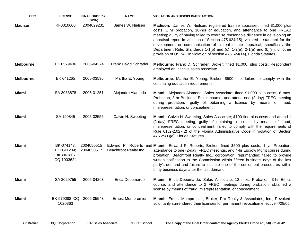| <b>CITY</b>      | <b>LICENSE</b>                                      | <b>FINAL ORDER#</b><br>(BPR-) | <b>NAME</b>              | <b>VIOLATION AND DISCIPLINARY ACTION</b>                                                                                                                                                                                                                                                                                                                                                                                                                                                                                                                                        |
|------------------|-----------------------------------------------------|-------------------------------|--------------------------|---------------------------------------------------------------------------------------------------------------------------------------------------------------------------------------------------------------------------------------------------------------------------------------------------------------------------------------------------------------------------------------------------------------------------------------------------------------------------------------------------------------------------------------------------------------------------------|
| <b>Madison</b>   | RI-0010600                                          | 2004029231                    | James W. Nielsen         | Madison: James W. Nielsen, registered trainee appraiser; fined \$1,000 plus<br>costs, 1 yr probation, 10-hrs of education, and attendance to one FREAB<br>meeting; guilty of having failed to exercise reasonable diligence in developing an<br>appraisal report in violation of Section 475.624(15); violated a standard for the<br>development or communication of a real estate appraisal, specifically the<br>Department Rule, Standards 1-1(b) and (c), 1-2(e), 2-1(a) and (b)(iii), or other<br>provision of USPAP in violation of section 475.624(14), Florida Statutes. |
| <b>Melbourne</b> | BK 0579436                                          | 2005-04274                    | Frank David Schrader     | Melbourne: Frank D. Schrader, Broker; fined \$1,000. plus costs; Respondent<br>employed an inactive sales associate.                                                                                                                                                                                                                                                                                                                                                                                                                                                            |
| <b>Melbourne</b> | BK 641265                                           | 2005-03596                    | Martha E. Young          | <b>Melbourne:</b> Martha E. Young, Broker; \$500 fine; failure to comply with the<br>continuing education requirements.                                                                                                                                                                                                                                                                                                                                                                                                                                                         |
| Miami            | SA 3033878                                          | 2005-01251                    | Alejandro Alameda        | Miami: Alejandro Alameda, Sales Associate; fined \$1,000 plus costs, 6 mos.<br>Probation, 3-hr Business Ethics course, and attend one (2-day) FREC meeting<br>during probation; guilty of obtaining a license by means of fraud,<br>misrepresentation, or concealment.                                                                                                                                                                                                                                                                                                          |
| Miami            | SA 190845                                           | 2005-02555                    | Calvin H. Sweeting       | Miami: Calvin H. Sweeting, Sales Associate; \$100 fine plus costs and attend 1<br>(2-day) FREC meeting; guilty of obtaining a license by means of fraud,<br>misrepresentation, or concealment; failed to comply with the requirements of<br>Rule 61J2-2.027(2) of the Florida Administrative Code in violation of Section<br>475.25(1)(e), Florida Statutes.                                                                                                                                                                                                                    |
| Miami            | BK-074143;<br>BK3041234;<br>BK3061807<br>CQ-1003624 | 2004050515<br>2004050517      | Beachfront Realty Inc.   | Edward P. Roberts and Miami: Edward P. Roberts, Broker; fined \$500 plus costs, 1 yr. Probation,<br>attendance to one (2-day) FREC meetings, and 4-hr Escrow Mgmt course during<br>probation. Beachfront Realty Inc., corporation; reprimanded; failed to provide<br>written notification to the Commission within fifteen business days of the last<br>party's demand and failure to institute one of the settlement procedures within<br>thirty business days after the last demand                                                                                           |
| Miami            | SA 3029755                                          | 2005-04263                    | Erica Debemardo          | Miami: Erica Debemardo, Sales Associate; 12 mos. Probation, 3-hr Ethics<br>course, and attendance to 2 FREC meetings during probation; obtained a<br>license by means of fraud, misrepresentation, or concealment.                                                                                                                                                                                                                                                                                                                                                              |
| <b>Miami</b>     | BK-579088 CQ<br>1020363                             | 2005-05543                    | <b>Ernest Mompremier</b> | Miami: Ernest Mompremier, Broker; Pro Realty & Associates, Inc.; Revoked:<br>voluntarily surrendered their licenses for permanent revocation effective 4/28/05.                                                                                                                                                                                                                                                                                                                                                                                                                 |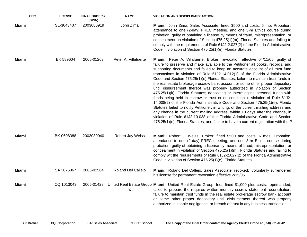| <b>CITY</b>  | <b>LICENSE</b> | <b>FINAL ORDER#</b><br>$(BPR-)$ | <b>NAME</b>             | <b>VIOLATION AND DISCIPLINARY ACTION</b>                                                                                                                                                                                                                                                                                                                                                                                                                                                                                                                                                                                                                                                                                                                                                                                                                                                                                                                                                                                                                                                                                                                                                            |
|--------------|----------------|---------------------------------|-------------------------|-----------------------------------------------------------------------------------------------------------------------------------------------------------------------------------------------------------------------------------------------------------------------------------------------------------------------------------------------------------------------------------------------------------------------------------------------------------------------------------------------------------------------------------------------------------------------------------------------------------------------------------------------------------------------------------------------------------------------------------------------------------------------------------------------------------------------------------------------------------------------------------------------------------------------------------------------------------------------------------------------------------------------------------------------------------------------------------------------------------------------------------------------------------------------------------------------------|
| <b>Miami</b> | SL-3043407     | 2003086919                      | John Zima               | Miami: John Zima, Sales Associate; fined \$500 and costs, 6 mo. Probation,<br>attendance to one (2-day) FREC meeting, and one 3-hr Ethics course during<br>probation; guilty of obtaining a license by means of fraud, misrepresentation, or<br>concealment on violation of Section 475.25(1)(m), Florida Statutes and failing to<br>comply with the requirements of Rule 61J2-2.027(2) of the Florida Administrative<br>Code in violation of Section 475.25(1)(e), Florida Statutes.                                                                                                                                                                                                                                                                                                                                                                                                                                                                                                                                                                                                                                                                                                               |
| Miami        | BK 589604      | 2005-01263                      | Peter A. Villafuerte    | Miami: Peter A. Villafuerte, Broker; revocation effective 04/11/05; guilty of<br>failure to preserve and make available to the Petitioner all books, records, and<br>supporting documents and failed to keep an accurate account of all trust fund<br>transactions in violation of Rule 61J2-14.012(1) of the Florida Administrative<br>Code and Section 475.25(1)(e) Florida Statutes; failure to maintain trust funds in<br>the real estate brokerage escrow bank account or some other proper depository<br>until disbursement thereof was properly authorized in violation of Section<br>475.25(1)(k), Florida Statutes; depositing or intermingling personal funds with<br>funds being held in escrow or trust or on condition in violation of Rule 61J2-<br>14.008(2) of the Florida Administrative Code and Section 475.25(1)(e), Florida<br>Statutes failed to notify Petitioner, in writing, of the current mailing address and<br>any change in the current mailing address, within 10 days after the change, in<br>violation of Rule 61J2-10.038 of the Florida Administrative Code and Section<br>475.25(1)(e), Florida Statutes; and failure to have a current registration with the F |
| Miami        | BK-0608388     | 2003089040                      | <b>Robert Jay Weiss</b> | Miami: Robert J. Weiss, Broker; fined \$500 and costs, 6 mos. Probation,<br>attendance to one (2-day) FREC meeting, and one 3-hr Ethics course during<br>probation: guilty of obtaining a license by means of fraud, misrepresentation, or<br>concealment in violation of Section 475.25(1)(m), Florida Statutes and failing to<br>comply wit the requirements of Rule 61J2-2.027(2) of the Florida Administrative<br>Code in violation of Section 475.25(1)(e), Florida Statutes.                                                                                                                                                                                                                                                                                                                                                                                                                                                                                                                                                                                                                                                                                                                  |
| Miami        | SA 3075367     | 2005-02564                      | Roland Del Callejo      | Miami: Roland Del Callejo, Sales Associate; revoked: voluntarily surrendered<br>his license for permanent revocation effective 2/15/05.                                                                                                                                                                                                                                                                                                                                                                                                                                                                                                                                                                                                                                                                                                                                                                                                                                                                                                                                                                                                                                                             |
| Miami        | CQ 1013043     | 2005-01428                      | Inc.                    | United Real Estate Group Miami: United Real Estate Group, Inc.; fined \$1,000 plus costs, reprimanded;<br>failed to prepare the required written monthly escrow statement reconciliation;<br>failure to maintain trust funds in the real estate brokerage escrow bank account<br>or some other proper depository until disbursement thereof was properly<br>authorized, culpable negligence, or breach of trust in any business transaction.                                                                                                                                                                                                                                                                                                                                                                                                                                                                                                                                                                                                                                                                                                                                                        |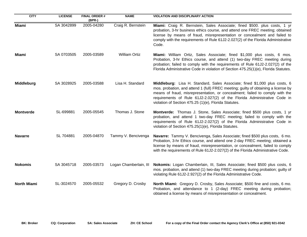| <b>CITY</b>        | <b>LICENSE</b> | <b>FINAL ORDER #</b><br>(BPR-) | <b>NAME</b>            | <b>VIOLATION AND DISCIPLINARY ACTION</b>                                                                                                                                                                                                                                                                                                                                              |
|--------------------|----------------|--------------------------------|------------------------|---------------------------------------------------------------------------------------------------------------------------------------------------------------------------------------------------------------------------------------------------------------------------------------------------------------------------------------------------------------------------------------|
| <b>Miami</b>       | SA 3042899     | 2005-04280                     | Craig R. Bernstein     | Miami: Craig R. Bernstein, Sales Associate; fined \$500. plus costs, 1 yr<br>probation, 3-hr business ethics course, and attend one FREC meeting; obtained<br>license by means of fraud, misrepresentation or concealment and failed to<br>comply with the requirements of Rule 61J2-2.027(2) of the Florida Administrative<br>Code.                                                  |
| Miami              | SA 0703505     | 2005-03589                     | <b>William Ortiz</b>   | Miami: William Ortiz, Sales Associate; fined \$1,000 plus costs, 6 mos.<br>Probation, 3-hr Ethics course, and attend (1) two-day FREC meeting during<br>probation; failed to comply with the requirements of Rule 61J2-2.027(2) of the<br>Florida Administrative Code in violation of Section 475.25(1)(e), Florida Statutes.                                                         |
| Middleburg         | SA 3028925     | 2005-03588                     | Lisa H. Standard       | Middleburg: Lisa H. Standard, Sales Associate; fined \$1,000 plus costs, 6<br>mos. probation, and attend 1 (full) FREC meeting; guilty of obtaining a license by<br>means of fraud, misrepresentation, or concealment; failed to comply with the<br>requirements of Rule 61J2-2.027(2) of the Florida Administrative Code in<br>violation of Section 475.25 (1)(e), Florida Statutes. |
| <b>Montverde</b>   | SL-699881      | 2005-05545                     | Thomas J. Stone        | Montverde: Thomas J. Stone, Sales Associate; fined \$500 plus costs, 1 yr<br>probation, and attend 1 two-day FREC meeting; failed to comply with the<br>requirements of Rule 61J2-2.027(2) of the Florida Administrative Code in<br>violation of Section 475.25(1)(e), Florida Statutes.                                                                                              |
| <b>Navarre</b>     | SL 704881      | 2005-04870                     | Tammy V. Bencivenga    | Navarre: Tammy V. Bencivenga, Sales Associate; fined \$500 plus costs, 6 mo.<br>Probation, 3-hr Ethics course, and attend one 2-day FREC meeting; obtained a<br>license by means of fraud, misrepresentation, or concealment, failed to comply<br>with the requirements of Rule 61J2-2.027(2) of the Florida Administrative Code.                                                     |
| <b>Nokomis</b>     | SA 3045718     | 2005-03573                     | Logan Chamberlain, III | Nokomis: Logan Chamberlain, III, Sales Associate; fined \$500 plus costs, 6<br>mos. probation, and attend (1) two-day FREC meeting during probation; guilty of<br>violating Rule 61J2-2.927(2) of the Florida Administrative Code.                                                                                                                                                    |
| <b>North Miami</b> | SL-3024570     | 2005-05532                     | Gregory D. Crosby      | North Miami: Gregory D. Crosby, Sales Associate; \$500 fine and costs, 6 mo.<br>Probation, and attendance to 1 (2-day) FREC meeting during probation;<br>obtained a license by means of misrepresentation or concealment.                                                                                                                                                             |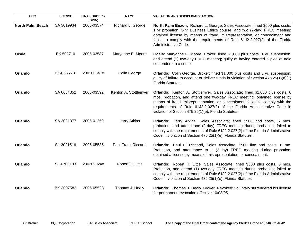| <b>CITY</b>             | <b>LICENSE</b> | <b>FINAL ORDER #</b><br>(BPR-) | <b>NAME</b>           | <b>VIOLATION AND DISCIPLINARY ACTION</b>                                                                                                                                                                                                                                                                                                                                     |
|-------------------------|----------------|--------------------------------|-----------------------|------------------------------------------------------------------------------------------------------------------------------------------------------------------------------------------------------------------------------------------------------------------------------------------------------------------------------------------------------------------------------|
| <b>North Palm Beach</b> | SA 3019934     | 2005-03574                     | Richard L. George     | North Palm Beach: Richard L. George, Sales Associate; fined \$500 plus costs,<br>1 yr probation, 3-hr Business Ethics course, and two (2-day) FREC meeting;<br>obtained license by means of fraud, misrepresentation, or concealment and<br>failed to comply with the requirements of Rule 61J2-2.027(2) of the Florida<br>Administrative Code.                              |
| Ocala                   | BK 502710      | 2005-03587                     | Maryanne E. Moore     | Ocala: Maryanne E. Moore, Broker; fined \$1,000 plus costs, 1 yr. suspension,<br>and attend (1) two-day FREC meeting; guilty of having entered a plea of nolo<br>contendere to a crime.                                                                                                                                                                                      |
| Orlando                 | BK-0655618     | 2002008418                     | Colin George          | Orlando: Colin George, Broker; fined \$1,000 plus costs and 5 yr. suspension;<br>guilty of failure to account or deliver funds in violation of Section $475.25(1)(d)(1)$<br>Florida Statutes.                                                                                                                                                                                |
| Orlando                 | SA 0684352     | 2005-03592                     | Kenton A. Stottlemyer | Orlando: Kenton A. Stottlemyer, Sales Associate; fined \$1,000 plus costs, 6<br>mos. probation, and attend one two-day FREC meeting; obtained license by<br>means of fraud, misrepresentation, or concealment; failed to comply with the<br>requirements of Rule 61J2-2.027(2) of the Florida Administrative Code in<br>violation of Section 475.25(1)(e), Florida Statutes. |
| Orlando                 | SA 3021377     | 2005-01250                     | Larry Atkins          | Orlando: Larry Atkins, Sales Associate; fined \$500 and costs, 6 mos.<br>probation, and attend one (2-day) FREC meeting during probation; failed to<br>comply with the requirements of Rule 61J2-2.027(2) of the Florida Administrative<br>Code in violation of Section 475.25(1)(e), Florida Statutes.                                                                      |
| Orlando                 | SL-3021516     | 2005-05535                     | Paul Frank Riccardi   | Orlando: Paul F. Riccardi, Sales Associate; \$500 fine and costs, 6 mo.<br>Probation, and attendance to 1 (2-day) FREC meeting during probation;<br>obtained a license by means of misrepresentation, or concealment.                                                                                                                                                        |
| Orlando                 | SL-0700103     | 2003090248                     | Robert H. Little      | Orlando: Robert H. Little, Sales Associate; fined \$500 plus costs, 6 mos.<br>Probation, and attend (1) two-day FREC meeting during probation; failed to<br>comply with the requirements of Rule 61J2-2.027(2) of the Florida Administrative<br>Code in violation of Section 475.25(1)(e), Florida Statutes                                                                  |
| Orlando                 | BK-3007582     | 2005-05528                     | Thomas J. Healy       | Orlando: Thomas J. Healy, Broker; Revoked: voluntary surrendered his license<br>for permanent revocation effective 10/03/05.                                                                                                                                                                                                                                                 |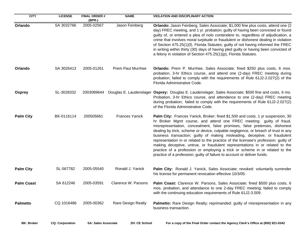| <b>CITY</b>       | <b>LICENSE</b> | <b>FINAL ORDER#</b><br>(BPR-) | <b>NAME</b>               | <b>VIOLATION AND DISCIPLINARY ACTION</b>                                                                                                                                                                                                                                                                                                                                                                                                                                                                                                                                                                                                                                                                                                       |
|-------------------|----------------|-------------------------------|---------------------------|------------------------------------------------------------------------------------------------------------------------------------------------------------------------------------------------------------------------------------------------------------------------------------------------------------------------------------------------------------------------------------------------------------------------------------------------------------------------------------------------------------------------------------------------------------------------------------------------------------------------------------------------------------------------------------------------------------------------------------------------|
| Orlando           | SA 3032766     | 2005-02567                    | Jason Feinberg            | Orlando: Jason Feinberg, Sales Associate; \$1,000 fine plus costs, attend one (2<br>day) FREC meeting, and 1 yr. probation; guilty of having been convicted or found<br>guilty of, or entered a plea of nolo contendere to, regardless of adjudication, a<br>crime that involves moral turpitude or fraudulent or dishonest dealing in violation<br>of Section 475.25(1)(f), Florida Statutes; guilty of not having informed the FREC<br>in writing within thirty (30) days of having pled guilty or having been convicted of<br>a felony in violation of Section 475.25(1)(p), Florida Statutes.                                                                                                                                              |
| Orlando           | SA 3026413     | 2005-01261                    | <b>Prem Paul Murrhee</b>  | Orlando: Prem P. Murrhee, Sales Associate; fined \$250 plus costs, 6 mos.<br>probation, 3-hr Ethics course, and attend one (2-day) FREC meeting during<br>probation; failed to comply with the requirements of Rule 61J2-2.027(2) of the<br>Florida Administrative Code.                                                                                                                                                                                                                                                                                                                                                                                                                                                                       |
| <b>Osprey</b>     | SL-3028332     | 2003089644                    |                           | Douglas E. Laudenslager Osprey: Douglas E. Laudenslager, Sales Associate; \$500 fine and costs, 6 mo.<br>Probation, 3-hr Ethics course, and attendance to one (2-day) FREC meeting<br>during probation; failed to comply with the requirements of Rule 61J2-2.027(2)<br>of the Florida Administrative Code.                                                                                                                                                                                                                                                                                                                                                                                                                                    |
| <b>Palm City</b>  | BK-0116114     | 200505681                     | <b>Frances Yanick</b>     | Palm City: Frances Yanick, Broker; fined \$1,500 and costs, 1 yr suspension, 30<br>hr Broker Mgmt course, and attend one FREC meeting: guilty of fraud,<br>misrepresentation, concealment, false promises, false pretenses, dishonest<br>dealing by trick, scheme or device, culpable negligence, or breach of trust in any<br>business transaction; guilty of making misleading, deceptive, or fraudulent<br>representation in or related to the practice of the licensee's profession; guilty of<br>making deceptive, untrue, or fraudulent representations in or related to the<br>practice of a profession or employing a trick or scheme in or related to the<br>practice of a profession; guilty of failure to account or deliver funds. |
| <b>Palm City</b>  | SL-567782      | 2005-05540                    | Ronald J. Yanick          | Palm City: Ronald J. Yanick, Sales Associate; revoked: voluntarily surrender<br>his license for permanent revocation effective 10/3/05.                                                                                                                                                                                                                                                                                                                                                                                                                                                                                                                                                                                                        |
| <b>Palm Coast</b> | SA 612246      | 2005-03591                    | Clarence W. Parsons       | Palm Coast: Clarence W. Parsons, Sales Associate; fined \$500 plus costs, 6<br>mos. probation, and attendance to one 2-day FREC meeting; failed to comply<br>with the continuing education requirements of Rule 61J2-3.009.                                                                                                                                                                                                                                                                                                                                                                                                                                                                                                                    |
| <b>Palmetto</b>   | CQ 1016486     | 2005-00362                    | <b>Rare Design Realty</b> | Palmetto: Rare Design Realty; reprimanded: guilty of misrepresentation in any<br>business transaction.                                                                                                                                                                                                                                                                                                                                                                                                                                                                                                                                                                                                                                         |

**BK: Broker CQ: Corporation SA: Sales Associate ZH: CE School For a copy of the Final Order contact the Agency Clerk's Office at (850) 921-0342**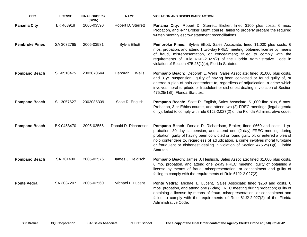| <b>CITY</b>           | <b>LICENSE</b> | <b>FINAL ORDER #</b><br>$(BPR-)$ | <b>NAME</b>          | <b>VIOLATION AND DISCIPLINARY ACTION</b>                                                                                                                                                                                                                                                                                                                                                                                          |
|-----------------------|----------------|----------------------------------|----------------------|-----------------------------------------------------------------------------------------------------------------------------------------------------------------------------------------------------------------------------------------------------------------------------------------------------------------------------------------------------------------------------------------------------------------------------------|
| <b>Panama City</b>    | BK 463918      | 2005-03590                       | Robert D. Sterrett   | Panama City: Robert D. Sterrett, Broker; fined \$100 plus costs, 6 mos.<br>Probation, and 4-hr Broker Mgmt course; failed to properly prepare the required<br>written monthly escrow statement reconciliations.                                                                                                                                                                                                                   |
| <b>Pembroke Pines</b> | SA 3032765     | 2005-03581                       | Sylvia Elliott       | Pembroke Pines: Sylvia Elliott, Sales Associate; fined \$1,000 plus costs, 6<br>mos. probation, and attend 1 two-day FREC meeting; obtained license by means<br>of fraud, misrepresentation, or concealment; failed to comply with the<br>requirements of Rule 61J2-2.027(2) of the Florida Administrative Code in<br>violation of Section 475.25(1)(e), Florida Statutes.                                                        |
| <b>Pompano Beach</b>  | SL-0510475     | 2003070644                       | Deborah L. Wells     | Pompano Beach: Deborah L. Wells, Sales Associate; fined \$1,000 plus costs,<br>and 3 yr. suspension; guilty of having been convicted or found guilty of, or<br>entered a plea of nolo contendere to, regardless of adjudication, a crime which<br>involves moral turpitude or fraudulent or dishonest dealing in violation of Section<br>475.25(1)(f), Florida Statutes.                                                          |
| <b>Pompano Beach</b>  | SL-3057627     | 2003085309                       | Scott R. English     | Pompano Beach: Scott R. English, Sales Associate; \$1,000 fine plus, 6 mos.<br>Probation, 3 hr Ethics course, and attend two (2) FREC meetings (legal agenda<br>only); failed to comply with rule 61J2-2.027(2) of the Florida Administrative code.                                                                                                                                                                               |
| <b>Pompano Beach</b>  | BK 0458470     | 2005-02556                       | Donald R. Richardson | Pompano Beach: Donald R. Richardson, Broker; fined \$660 and costs, 1 yr.<br>probation, 30 day suspension, and attend one (2-day) FREC meeting during<br>probation; guilty of having been convicted or found guilty of, or entered a plea of<br>nolo contendere to, regardless of adjudication, a crime involves moral turpitude<br>or fraudulent or dishonest dealing in violation of Section 475.25(1)(f), Florida<br>Statutes. |
| <b>Pompano Beach</b>  | SA 701400      | 2005-03576                       | James J. Heidisch    | Pompano Beach: James J. Heidisch, Sales Associate; fined \$1,000 plus costs,<br>6 mo. probation, and attend one 2-day FREC meeting; guilty of obtaining a<br>license by means of fraud, misrepresentation, or concealment and guilty of<br>failing to comply with the requirements of Rule 61J2-2.027(2).                                                                                                                         |
| <b>Ponte Vedra</b>    | SA 3037207     | 2005-02560                       | Michael L. Lucent    | Ponte Vedra: Michael L. Lucent, Sales Associate; fined \$250 and costs, 6<br>mos. probation, and attend one (2-day) FREC meeting during probation; guilty of<br>obtaining a license by means of fraud, misrepresentation, or concealment and<br>failed to comply with the requirements of Rule 61J2-2.027(2) of the Florida<br>Administrative Code.                                                                               |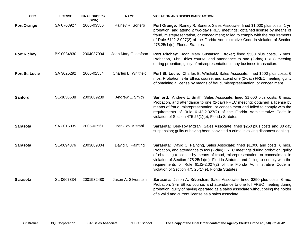| <b>CITY</b>        | <b>LICENSE</b> | <b>FINAL ORDER#</b><br>(BPR-) | <b>NAME</b>          | <b>VIOLATION AND DISCIPLINARY ACTION</b>                                                                                                                                                                                                                                                                                                                                                                                                                                     |
|--------------------|----------------|-------------------------------|----------------------|------------------------------------------------------------------------------------------------------------------------------------------------------------------------------------------------------------------------------------------------------------------------------------------------------------------------------------------------------------------------------------------------------------------------------------------------------------------------------|
| <b>Port Orange</b> | SA 0708927     | 2005-03586                    | Rainey R. Soriero    | Port Orange: Rainey R. Soriero, Sales Associate, fined \$1,000 plus costs, 1 yr.<br>probation, and attend 2 two-day FREC meetings; obtained license by means of<br>fraud, misrepresentation, or concealment; failed to comply with the requirements<br>of Rule 61J2-2.027(2) of the Florida Administrative Code in violation of Section<br>475.25(1)(e), Florida Statutes.                                                                                                   |
| <b>Port Richey</b> | BK-0034830     | 2004037094                    | Joan Mary Gustafson  | Port Ritchey: Joan Mary Gustafson, Broker; fined \$500 plus costs, 6 mos.<br>Probation, 3-hr Ethics course, and attendance to one (2-day) FREC meeting<br>during probation; guilty of misrepresentation in any business transaction.                                                                                                                                                                                                                                         |
| Port St. Lucie     | SA 3025292     | 2005-02554                    | Charles B. Whitfield | Port St. Lucie: Charles B. Whitfield, Sales Associate; fined \$500 plus costs, 6<br>mos. Probation, 3-hr Ethics course, and attend one (2-day) FREC meeting; guilty<br>of obtaining a license by means of fraud, misrepresentation, or concealment.                                                                                                                                                                                                                          |
| <b>Sanford</b>     | SL-3030538     | 2003089239                    | Andrew L. Smith      | Sanford: Andrew L. Smith, Sales Associate; fined \$1,000 plus costs, 6 mos.<br>Probation, and attendance to one (2-day) FREC meeting; obtained a license by<br>means of fraud, misrepresentation, or concealment and failed to comply with the<br>requirements of Rule 61J2-2.027(2) of the Florida Administrative Code in<br>violation of Section 475.25(1)(e), Florida Statutes.                                                                                           |
| Sarasota           | SA 3015035     | 2005-02561                    | Ben-Tov Mizrahi      | Sarasota: Ben-Tov Mizrahi, Sales Associate; fined \$250 plus costs and 30 day<br>suspension; guilty of having been convicted a crime involving dishonest dealing.                                                                                                                                                                                                                                                                                                            |
| Sarasota           | SL-0694376     | 2003089804                    | David C. Painting    | Sarasota: David C. Painting, Sales Associate; fined \$1,000 and costs, 6 mos.<br>Probation, and attendance to two (2-day) FREC meetings during probation; guilty<br>of obtaining a license by means of fraud, misrepresentation, or concealment in<br>violation of Section 475.25(1)(m), Florida Statutes and failing to comply with the<br>requirements of Rule 61J2-2.027(2) of the Florida Administrative Code in<br>violation of Section 475.25(1)(e), Florida Statutes. |
| <b>Sarasota</b>    | SL-0667334     | 2001532480                    | Jason A. Silverstein | Sarasota: Jason A. Silverstein, Sales Associate; fined \$250 plus costs, 6 mo.<br>Probation, 3-hr Ethics course, and attendance to one full FREC meeting during<br>probation; guilty of having operated as a sales associate without being the holder<br>of a valid and current license as a sales associate                                                                                                                                                                 |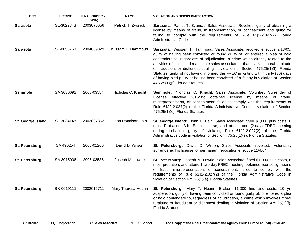| <b>CITY</b>       | <b>LICENSE</b> | <b>FINAL ORDER#</b><br>(BPR-) | <b>NAME</b>         | <b>VIOLATION AND DISCIPLINARY ACTION</b>                                                                                                                                                                                                                                                                                                                                                                                                                                                                                                                                                                                                  |
|-------------------|----------------|-------------------------------|---------------------|-------------------------------------------------------------------------------------------------------------------------------------------------------------------------------------------------------------------------------------------------------------------------------------------------------------------------------------------------------------------------------------------------------------------------------------------------------------------------------------------------------------------------------------------------------------------------------------------------------------------------------------------|
| Sarasota          | SL-3022843     | 2003076656                    | Patrick T. Zvonick  | Sarasota: Patrict T. Zvonick, Sales Associate; Revoked; guilty of obtaining a<br>license by means of fraud, misrepresentation, or concealment and guilty for<br>failing to comply with the requirements of Rule 61j2-2.027(2) Florida<br>Administrative Code.                                                                                                                                                                                                                                                                                                                                                                             |
| <b>Sarasota</b>   | SL-0656763     | 2004009329                    | Wissam T. Hammoud   | Sarasota: Wissam T. Hammoud, Sales Associate; revoked effective 9/18/05;<br>guilty of having been convicted or found guilty of, or entered a plea of nolo<br>contendere to, regardless of adjudication, a crime which directly relates to the<br>activities of a licensed real estate sales associate or that involves moral turpitude<br>or fraudulent or dishonest dealing in violation of Section 475.25(1)(f), Florida<br>Statutes; guilty of not having informed the FREC in writing within thirty (30) days<br>of having pled guilty or having been convicted of a felony in violation of Section<br>475.25(1)(p) Florida Statutes. |
| <b>Seminole</b>   | SA 3036692     | 2005-03584                    | Nicholas C. Knecht  | Seminole: Nicholas C. Knecht, Sales Associate, Voluntary Surrender of<br>effective 2/15/05; obtained<br>license by means of fraud,<br>License<br>misrepresentation, or concealment; failed to comply with the requirements of<br>Rule 61J2-2.027(2) of the Florida Administrative Code in violation of Section<br>475.25(1)(e), Florida Statutes.                                                                                                                                                                                                                                                                                         |
| St. George Island | SL-3034148     | 2003087862                    | John Donalson Fain  | St. George Island: John D. Fain, Sales Associate; fined \$1,000 plus costs; 6<br>mos. Probation, 3-hr Ethics course, and attend one (2-day) FREC meeting<br>during probation; guilty of violating Rule 61J2-2.027(2) of the Florida<br>Administrative code in violation of Section 475.25(1)(e), Florida Statutes.                                                                                                                                                                                                                                                                                                                        |
| St. Petersburg    | SA 490254      | 2005-01266                    | David D. Wilson     | St. Petersburg: David D. Wilson, Sales Associate; revoked: voluntarily<br>surrendered his license for permanent revocation effective 11/4/04.                                                                                                                                                                                                                                                                                                                                                                                                                                                                                             |
| St. Petersburg    | SA 3015036     | 2005-03585                    | Joseph M. Lowrie    | St. Petersburg: Joseph M. Lowrie, Sales Associate, fined \$1,000 plus costs, 6<br>mos. probation, and attend 1 two-day FREC meeting; obtained license by means<br>of fraud, misrepresentation, or concealment; failed to comply with the<br>requirements of Rule 61J2-2.027(2) of the Florida Administrative Code in<br>violation of Section 475.25(1)(e), Florida Statutes.                                                                                                                                                                                                                                                              |
| St. Petersburg    | BK-0619111     | 2002015711                    | Mary Theresa Hearin | St. Petersburg: Mary T. Hearin, Broker; \$1,000 fine and costs, 10 yr.<br>suspension; guilty of having been convicted or found guilty of, or entered a plea<br>of nolo contendere to, regardless of adjudication, a crime which involves moral<br>turpitude or fraudulent or dishonest dealing in violation of Section 475.25(1)(f),<br>Florida Statues.                                                                                                                                                                                                                                                                                  |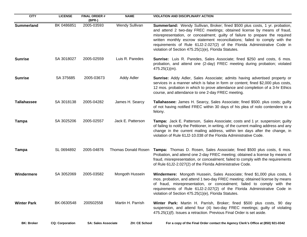| <b>CITY</b>        | <b>LICENSE</b>         | <b>FINAL ORDER#</b><br>$(BPR-)$ | <b>NAME</b>          | <b>VIOLATION AND DISCIPLINARY ACTION</b>                                                                                                                                                                                                                                                                                                                                                                                                                   |
|--------------------|------------------------|---------------------------------|----------------------|------------------------------------------------------------------------------------------------------------------------------------------------------------------------------------------------------------------------------------------------------------------------------------------------------------------------------------------------------------------------------------------------------------------------------------------------------------|
| <b>Summerland</b>  | BK 0486851             | 2005-03593                      | Wendy Sullivan       | Summerland: Wendy Sullivan, Broker; fined \$500 plus costs, 1 yr. probation,<br>and attend 2 two-day FREC meetings; obtained license by means of fraud,<br>misrepresentation, or concealment; guilty of failure to prepare the required<br>written monthly escrow statement reconciliations; failed to comply with the<br>requirements of Rule 61J2-2.027(2) of the Florida Administrative Code in<br>violation of Section 475.25(1)(e), Florida Statutes. |
| <b>Sunrise</b>     | SA 3018027             | 2005-02559                      | Luis R. Paredes      | Sunrise: Luis R. Paredes, Sales Associate; fined \$250 and costs, 6 mos.<br>probation, and attend one (2-day) FREC meeting during probation; violated<br>$475.25(1)(m)$ .                                                                                                                                                                                                                                                                                  |
| <b>Sunrise</b>     | SA 375685              | 2005-03673                      | <b>Addy Adler</b>    | Sunrise: Addy Adler, Sales Associate; admits having advertised property or<br>services in a manner which is false in form or content; fined \$2,000 plus costs,<br>12 mos. probation in which to prove attendance and completion of a 3-hr Ethics<br>course, and attendance to one 2-day FREC meeting.                                                                                                                                                     |
| <b>Tallahassee</b> | SA 3018138             | 2005-04282                      | James H. Searcy      | Tallahassee: James H. Searcy, Sales Associate; fined \$500. plus costs; guilty<br>of not having notified FREC within 30 days of his plea of nolo contendere to a<br>felony.                                                                                                                                                                                                                                                                                |
| <b>Tampa</b>       | SA 3025206             | 2005-02557                      | Jack E. Patterson    | Tampa: Jack E. Patterson, Sales Associate; costs and 1 yr. suspension; guilty<br>of failing to notify the Petitioner, in writing, of the current mailing address and any<br>change in the current mailing address, within ten days after the change, in<br>violation of Rule 61J2-10.038 of the Florida Administrative Code.                                                                                                                               |
| <b>Tampa</b>       | SL 0694892             | 2005-04876                      | Thomas Donald Rosen  | Tampa: Thomas D. Rosen, Sales Associate; fined \$500 plus costs, 6 mos.<br>Probation, and attend one 2-day FREC meeting; obtained a license by means of<br>fraud, misrepresentation, or concealment; failed to comply with the requirements<br>of Rule 61J2-2.027(2) of the Florida Administrative Code.                                                                                                                                                   |
| Windermere         | SA 3052069             | 2005-03582                      | Mongoth Hussein      | Windermere: Mongoth Hussein, Sales Associate; fined \$1,000 plus costs, 6<br>mos. probation, and attend 1 two-day FREC meeting; obtained license by means<br>of fraud, misrepresentation, or concealment; failed to comply with the<br>requirements of Rule 61J2-2.027(2) of the Florida Administrative Code in<br>violation of Section 475.25(1)(e), Florida Statutes.                                                                                    |
| <b>Winter Park</b> | BK-0630548             | 200502558                       | Martin H. Parrish    | Winter Park: Martin H. Parrish, Broker; fined \$500 plus costs, 90 day<br>suspension, and attend four (4) two-day FREC meetings; guilty of violating<br>475.25(1)(f). Issues a retraction. Previous Final Order is set aside.                                                                                                                                                                                                                              |
| <b>BK: Broker</b>  | <b>CQ: Corporation</b> | <b>SA: Sales Associate</b>      | <b>ZH: CE School</b> | For a copy of the Final Order contact the Agency Clerk's Office at (850) 921-0342                                                                                                                                                                                                                                                                                                                                                                          |